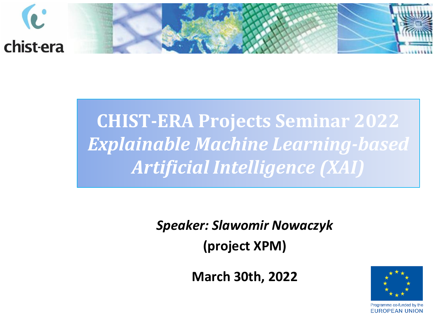

## **CHIST-ERA Projects Seminar 2022** *Explainable Machine Learning-based Artificial Intelligence (XAI)*

*Speaker: Slawomir Nowaczyk* **(project XPM)**

**March 30th, 2022**

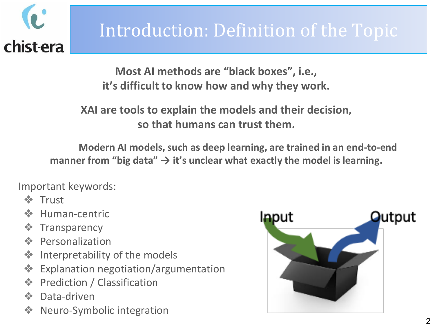

**Most AI methods are "black boxes", i.e., it's difficult to know how and why they work.** 

**XAI are tools to explain the models and their decision, so that humans can trust them.**

**Modern AI models, such as deep learning, are trained in an end-to-end**  manner from "big data"  $\rightarrow$  it's unclear what exactly the model is learning.

Important keywords:

- ❖ Trust
- ❖ Human-centric
- ❖ Transparency
- ❖ Personalization
- ❖ Interpretability of the models
- ❖ Explanation negotiation/argumentation
- ❖ Prediction / Classification
- ❖ Data-driven
- ❖ Neuro-Symbolic integration

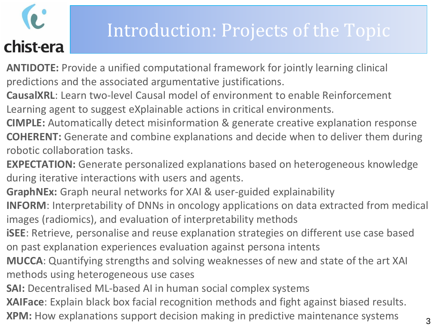# chist-era

#### Introduction: Projects of the Topic

**ANTIDOTE:** Provide a unified computational framework for jointly learning clinical predictions and the associated argumentative justifications.

**CausalXRL**: Learn two-level Causal model of environment to enable Reinforcement Learning agent to suggest eXplainable actions in critical environments.

**CIMPLE:** Automatically detect misinformation & generate creative explanation response **COHERENT:** Generate and combine explanations and decide when to deliver them during robotic collaboration tasks.

**EXPECTATION:** Generate personalized explanations based on heterogeneous knowledge during iterative interactions with users and agents.

**GraphNEx:** Graph neural networks for XAI & user-guided explainability

**INFORM**: Interpretability of DNNs in oncology applications on data extracted from medical images (radiomics), and evaluation of interpretability methods

**iSEE**: Retrieve, personalise and reuse explanation strategies on different use case based on past explanation experiences evaluation against persona intents

**MUCCA**: Quantifying strengths and solving weaknesses of new and state of the art XAI methods using heterogeneous use cases

**SAI:** Decentralised ML-based AI in human social complex systems

**XAIFace**: Explain black box facial recognition methods and fight against biased results.

**XPM:** How explanations support decision making in predictive maintenance systems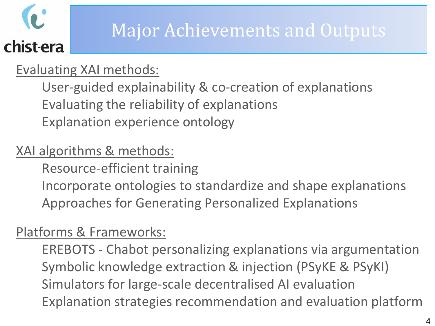# chist-era

#### Major Achievements and Outputs

#### Evaluating XAI methods:

User-guided explainability & co-creation of explanations Evaluating the reliability of explanations Explanation experience ontology

#### XAI algorithms & methods:

Resource-efficient training Incorporate ontologies to standardize and shape explanations Approaches for Generating Personalized Explanations

#### Platforms & Frameworks:

EREBOTS - Chabot personalizing explanations via argumentation Symbolic knowledge extraction & injection (PSyKE & PSyKI) Simulators for large-scale decentralised AI evaluation Explanation strategies recommendation and evaluation platform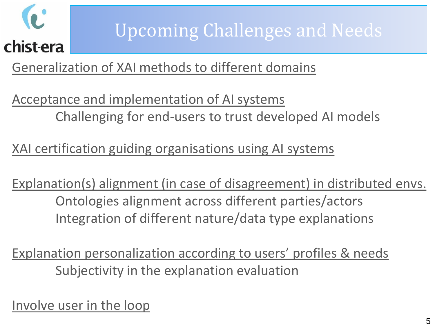

## Upcoming Challenges and Needs

Generalization of XAI methods to different domains

Acceptance and implementation of AI systems Challenging for end-users to trust developed AI models

XAI certification guiding organisations using AI systems

Explanation(s) alignment (in case of disagreement) in distributed envs. Ontologies alignment across different parties/actors Integration of different nature/data type explanations

Explanation personalization according to users' profiles & needs Subjectivity in the explanation evaluation

Involve user in the loop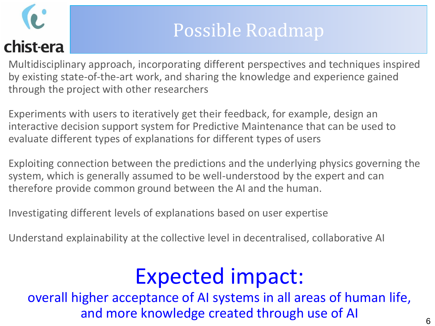

#### Possible Roadmap

Multidisciplinary approach, incorporating different perspectives and techniques inspired by existing state-of-the-art work, and sharing the knowledge and experience gained through the project with other researchers

Experiments with users to iteratively get their feedback, for example, design an interactive decision support system for Predictive Maintenance that can be used to evaluate different types of explanations for different types of users

Exploiting connection between the predictions and the underlying physics governing the system, which is generally assumed to be well-understood by the expert and can therefore provide common ground between the AI and the human.

Investigating different levels of explanations based on user expertise

Understand explainability at the collective level in decentralised, collaborative AI

#### Expected impact:

overall higher acceptance of AI systems in all areas of human life, and more knowledge created through use of AI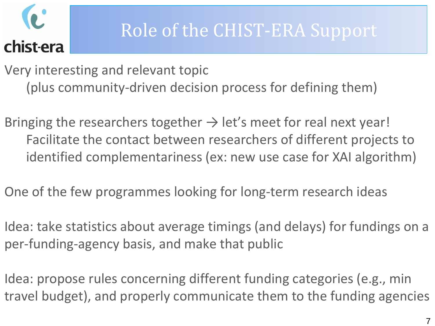

### Role of the CHIST-ERA Support

Very interesting and relevant topic (plus community-driven decision process for defining them)

Bringing the researchers together  $\rightarrow$  let's meet for real next year! Facilitate the contact between researchers of different projects to identified complementariness (ex: new use case for XAI algorithm)

One of the few programmes looking for long-term research ideas

Idea: take statistics about average timings (and delays) for fundings on a per-funding-agency basis, and make that public

Idea: propose rules concerning different funding categories (e.g., min travel budget), and properly communicate them to the funding agencies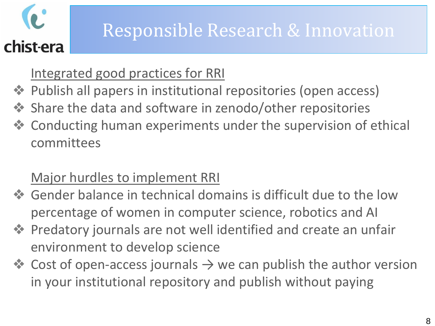

### Responsible Research & Innovation

Integrated good practices for RRI

- ❖ Publish all papers in institutional repositories (open access)
- ❖ Share the data and software in zenodo/other repositories
- ❖ Conducting human experiments under the supervision of ethical committees

#### Major hurdles to implement RRI

- ❖ Gender balance in technical domains is difficult due to the low percentage of women in computer science, robotics and AI
- ❖ Predatory journals are not well identified and create an unfair environment to develop science
- $\dots$  Cost of open-access journals  $\rightarrow$  we can publish the author version in your institutional repository and publish without paying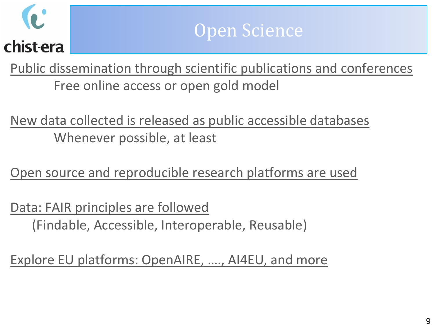# chist-era

#### Open Science

Public dissemination through scientific publications and conferences Free online access or open gold model

New data collected is released as public accessible databases Whenever possible, at least

Open source and reproducible research platforms are used

Data: FAIR principles are followed (Findable, Accessible, Interoperable, Reusable)

Explore EU platforms: OpenAIRE, …., AI4EU, and more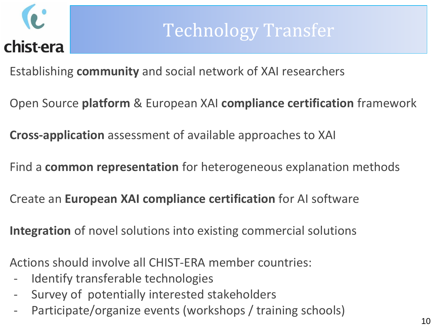

#### Technology Transfer

Establishing **community** and social network of XAI researchers

Open Source **platform** & European XAI **compliance certification** framework

**Cross-application** assessment of available approaches to XAI

Find a **common representation** for heterogeneous explanation methods

Create an **European XAI compliance certification** for AI software

**Integration** of novel solutions into existing commercial solutions

Actions should involve all CHIST-ERA member countries:

- Identify transferable technologies
- Survey of potentially interested stakeholders
- Participate/organize events (workshops / training schools)